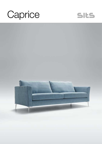



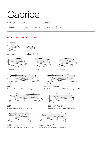| Caprice           |                                                                                                |  |        |  |
|-------------------|------------------------------------------------------------------------------------------------|--|--------|--|
| <b>UPHOLSTERY</b> | <b>COMFORTS</b>                                                                                |  | COVERS |  |
| fabric            | $\int$ sto $\int$ standard $\int$ Lux $\int$ lux $\int$ Fc $\int$ fixed $\int$ Lc $\int$ loose |  |        |  |

## Model available until 31st December 2022





armchair

2 seater

set 1

footstool 80x64







3,5 seater





set 2 left / or right 2 seater left / or right + corner 90˚ + 3 seater right / or left



set 3 3 seater left + corner 90˚ + 3 seater right

2 seater left + corner 90˚ + 2 seater right



set 5 right / or left 2 seater left or right + divan right / or left



set 4 right / or left 3 seater left / or right + divan right / or left



set 6 right / or left 3,5 seater left / or right + divan right / or left